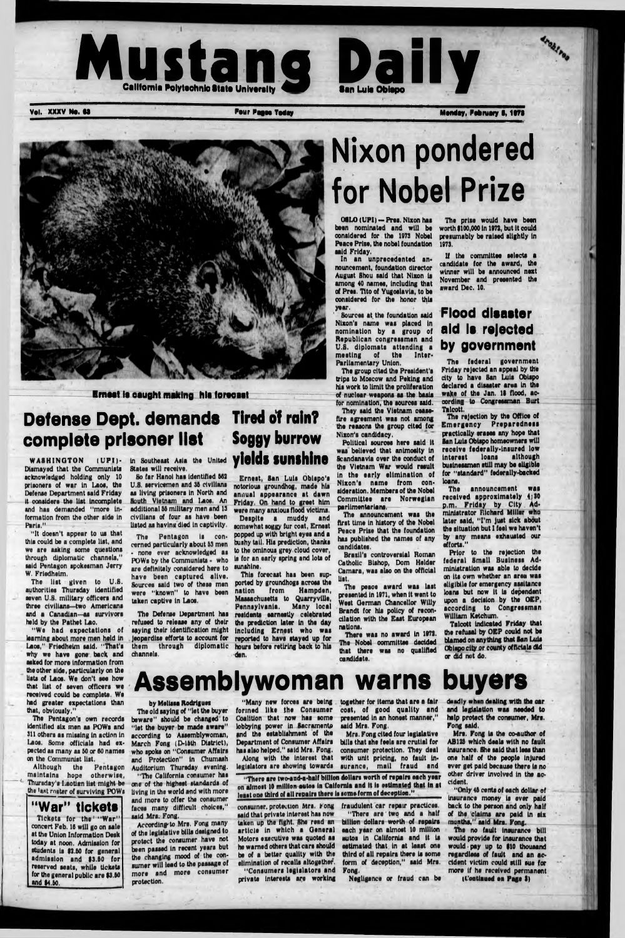



Vol. XXXV No. 63 Monday, Pour Pages Today Monday, Pobruary 6, 1978



# Nixon pondered for Nobel Prize

Krnoat la oauQht making hit forooaat

## **Defense Dept. demands Tired of rain?** complete prisoner list

Dismayed that the Communlata acknowledged holding only 10 prisoners of war in Laoa, the Defense Department said Friday it considers the list Incomplete and has demanded "more Information from the other side In Paris."

"It doesn't appear to us that this could be a complete list, and we are asking some questions through diplomatic channels," said Pentagon spokesman Jerry W. Frledheim.

The Pentagon's own records identified six men as POWa and 311 others as missing in action in Laos. Some officials had expected as many as 60 or 80 names on the Communist list.<br>Although the F

the Pentagon maintains hope otherwise, *4* Thursday's Laotian list might be the last roster of surviving POWs

The list given to U.8. authorities Thursday identified seven U.S. military officers and three civilians—two Americans and a Canadian—as survivors held by the Pathet Lao.

"We had expectation

So far Hanoi has identified 562 U.8. servicemen and 35 civilians as living prisoners In North and South Vietnam and laos. An additional 55 military men and 13 civilians of four as have been listed as having died in captivity.

learning about more men held in Laos," Frledheim said. "That's why we have gone back and asked for more information from the other side, particularly on the lists of Laos. We don't see how that list of seven officers we received could be complete. We had greater expectations than that, obviously,"

## WASHINGTON (UPI)- in Southeast Asia the United **yields sunshine** Soggy burrow

08U) (UPI) — Pres. Nixon has been nominated and will be considered for the 1973 Nobel Peace Prise, the nobel foundation said Friday.

States will receive.

The Pentagon Is concerned particularly about 63 men • none ever acknowledged as POWs by the Communists • who are definitely considered here to have been captured alive, were "known" to have been taken captive in Laos.

saying their identification might Including Ernest who was channels.

Ernest, Sen Luis Obispo's notorious groundhog, made his annual appearance at dawn Friday, On hand to greet him were many anxious flood victims.

Sources said two of these men ported by groundhogs across the The Defense Department has residents earnestly celebrated refused to release any of their the prediction later in the day This forecast has been supnation from Hampden, Massachusetts to Quarryvtllo, Pennsylvania. Many local

Despite a muddy and somewhat soggy fur coat, Ernest popped up with bright eyes and a bushy tail. His prediction, thanks to the ominous grey cloud cover, is for an early spring and lota of sunshine.

jeopardise efforts to account for reported to have stayed up for them through diplomatic hours before retiring back to his den.

The announcement received approximately 4;30 p.m. Friday by City Administrator Richard Miller who later said, "I'm just sick about the situation but I feel we haven't by any means exhausted our efforts."

**"W ar" tickets** Tickets for the "War" concert Feb. 18 will go on sale at the Union Information Desk today at noon. Admission for students is \$2.50 for general admission and \$3.50 for reserved seats, while tickets for the general public are \$3.50 and \$4.50.

In an unprecedented announcement, foundation director August Shou said that Nixon is among 40 names, including that of Pres, Tito of Yugoslavia, to be considered for the honor this year.

Sources at the foundation said Nixon's name was placed In nomination by a group of Republican congressmen and U.8. diplomats attending a meeting of the Interparliamentary Union.

The group cited the President's trips to Moscow and Poking and his work to limit the proliferation of nuclear weapons as the basis for nomination, the sources said.

together for items that are a fair cost, of good quality and presented in an honest manner," said Mrs. Fong.

They said the Vietnam ceasefire agreement was not among the reasons the group cited for Nixon's candidacy.

"There are two-and-a-half billion dollars worth of repairs each year on almost 10 million autos in Calfornla and It Is estimated that in at least one third of all repairs there is some form of deception."

Political sources here said it was believed that animosity in Scandanavia over the conduct of the Vietnam War would result in the early elimination of Nixon's name from consideration. Members of the Nobel Committee are Norwegian parlimentarlans.

consumer, protection Mrs. Fong said that private interest has now taken up the fight. She road an article in which a General Motors executive was quoted as he warned others that cars should bo of a better quality with the elimination of recalls altogether. "Consumers legislators and private Interests are working

The announcement was the first time in history of the Nobel Peace Prise that the foundation has published the names of any candidates.

Brasil's controversial Roman Catholic Bishop, Dorn Holder Camara, was also on the official list.

> "Only 46 cents of each dollar of insurance money is ever paid back to the person and only half of the claims are paid in six months," said Mrs. Fong.

The peaoe award was last presented in 1971, when it went to West Oerman Chancellor Willy Brandt for his policy of reconcitation with the East European nations.

There was no award in 1972. The Nobel committee decided that there was no qualified candidate.

> The no fault insurance bill would provide for insurance that would pay up to 910 thousand regardless of fault and an accident victim could still sue for more if he received permanent (Continued on Page I)

The prise would have been worth 9100,000 in 1972, but it could presumably be raised slightly in 1973.

If the committee selects a candidate for the award, the winner will be announced next November and presented the award Dec. 10.

### **Flood dieaster aid la rejected by government**

The federal government Friday rejected an appeal by the city to have San Luis Obispo declared a diaaater area in the wake of the Jan. 18 flood, according to Congressman Burt Talcott.

The rejection by the Office of Emergency Preparedness practically erases any hope that San Luis Obispo homeowners will receive federally-insured low interest loans although businessmen still may be eligible for "standard" federally-backed loans.

Prior to the rejection the federal Small Business Administration was able to decide on its own whether an area was ellgibile for emergency assitancs loans but now it is dependent upon a decision by the OEP, according to Congressman William Ketchum.

Talcott indicated Friday that the refusal by OEP could no blamed on anything that San UUs Obispo city or county officials did or did not do.

## **Assemblywoman warns buyers**

#### by Melissa Rodrigues

The old saying of "let the buyer beware" should be changed to "let the buyer be made aware" according to Assemblywoman, March Fong (D-16th District), who spoke on "Consumer Affairs and Protection" In Chumash Auditorium Thursday evening. "The California consumer has one of the highest standards of living In the world and with more and more to offer the consumer faces many difficult choices," said Mrs. Fong.

According to Mrs. Fong many of the legislative bills designed to protect the consumer have not been passed In recent years but the changing mood of the consumer will lead to the passage of more and more consumer protection.

"Many new forces are being formed like the Consumer Coalition that now has some lobbying power in Sacramento and the establishment of the Department of Consumer Affairs has also helped," said Mrs. Fong. Along with the Interest that legislators are showing towards

Mrs. Fong cited four legislative bills that she feels are crutial for consumer protection. They deal with unit pricing, no fault insurance, mail fraud and

fraudulent car repair practices. "There are two and a half billion dollars worth of repairs each year on almost 10 million autos in California and it is estimated that in at least one third of all repairs there is some form of deception," said Mrs. Fong.

Negligence or fraud can be

deadly **when** dealing with the car and legislation was needed to help protect the consumer, Mrs. Fong said.

Mrs. Fong is the coauthor of AB125 which deals with no fault Insurance. She said that less than one half of the people Injured ever get paid because there is no other driver Involved in the accident.

i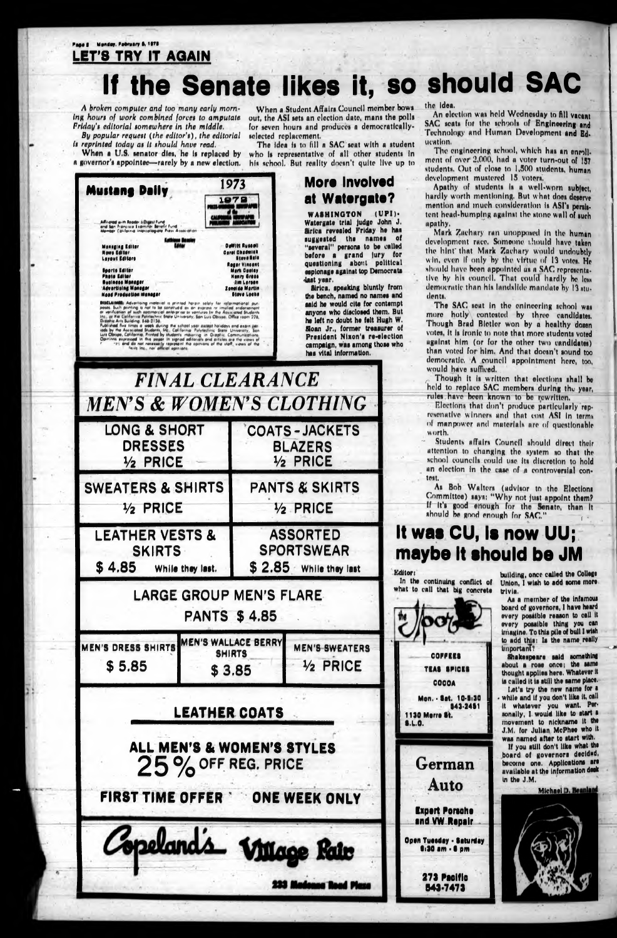### Page 8 Monday, February 6, 1979 **LET'S TRY IT AGAIN**

## If the Senate likes it, so should SAC

A broken computer and too many early morning hours of work combined forces to amputate Friday's editorial somewhere in the middle.

By popular request (the editor's), the editorial is reprinted today as it should have read.

When a U.S. senator dies, he is replaced by

When a Student Affairs Council member bows out, the ASI sets an election date, mans the polls for seven hours and produces a democraticallyselected replacement.

The idea is to fill a SAC seat with a student who is representative of all other students in a governor's appointee—rarely by a new election. his school. But reality doesn't quite live up to

 $(UPI)$ 



the idea.

An election was held Wednesday to fill vacant SAC seats for the schools of Engineering and Technology and Human Development and Ed. ucation.

The engineering school, which has an enroll. ment of over 2,000, had a voter turn-out of 157 students. Out of close to 1,500 students, human development mustered 15 voters,

Apathy of students is a well-worn subject. hardly worth mentioning. But what does deserve mention and much consideration is ASI's persistent head-bumping against the stone wall of such apathy.

Mark Zachary ran unopposed in the human development race. Someone thould have taken the hint that Mark Zachary would undoubtly win, even if only by the virtue of 13 votes. He should have been appointed as a SAC representative by his council. That could hardly be less democratic than his landslide mandate by 13 students.

The SAC seat in the enineering school was more hotly contested by three candidates. Though Brad Bletler won by a healthy dozen votes, it is ironic to note that more students voted against him (or for the other two candidates) than voted for him. And that doesn't sound too democratic. A council appointment here, too, would have sufficed.

Though it is written that elections shall be held to replace SAC members during the year. rules have been known to be rewritten.

Elections that don't produce particularly represenative winners and that cost ASI in terms of manpower and materials are of questionable worth.

Students affairs Council should direct their attention to changing the system so that the school councils could use its discretion to hold an election in the case of a controversial contest.

As Bob Walters (advisor to the Elections Committee) says: "Why not just appoint them? If it's good enough for the Senate, than it should be good enough for SAC."

## It was CU, is now UU; maybe it should be JM

Editor:

In the continuing conflict of what to call that big concrete



building, once called the College Union, I wish to add some more trivia.

As a member of the infamous board of governors, I have heard every possible reason to call it every possible thing you can imagine. To this pile of bull I wish lo sad this: unportant?

Shakespeare said something about a rose once; the same thought applies here. Whatever it is called it is still the same place.

Let's try the new name for a while and if you don't like it, call it whatever you want. Personally, I would like to start a movement to nickname it the J.M. for Julian McPhee who it was named after to start with.

If you still don't like what the board of governors decided. become one. Applications are available at the information desk in the J.M.

**Michael D. Beanland** 

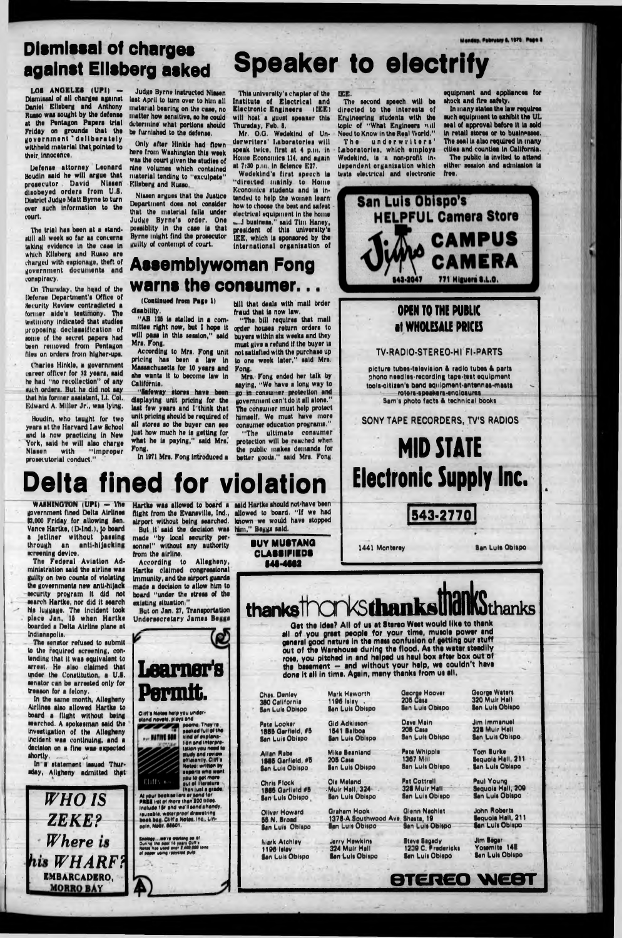## Dismissal of charges **against Ellsberg asked Speaker to electrify**

LOS ANGELES (UPI) -Dismissal of all charges against Daniel Ellsberg and Anthony Russo was sought by the defense at the Pentagon Papers trial Friday on grounds that the government \* deliberately withheld material that pointed to their Innocence,

Defenae attorney Leonard Boudin aald he will argue that proaecutor David Nlaaen' diaobeyed ordera from U.S. District Judge Matt Byrne to turn over auch Information to the court,

Charles Hinkle, a government carver officer for 32 yeara, aald he had "no recollection" of any auch ordera. But he did not aay that hla former aaalatant, Lt. Col. Edward A. Miller Jr., was lying.

The trial haa been at a standstill all week so far as concerns taking evidence In the caae In which Ellsberg and Russo are charged with eaplonage, theft of government documents and conaplracy.

Only after Hinkle had flown here from Washington this week waa the court given the atudlea of nine volumes which contained material tending to "exculpate" Elisberg and Russo.

On Thuraday, the hqad of the Defenae Department's Office of Security Review contradicted a former aide's testimony. The teatlmony Indicated that atudlea propuaing declassification of some of the secret papers had been removed from Pentagon fllea on ordera from hlgher-upa,

Mr. O.O. Wedekind of Underw riters' Laboratories will speak twice, first at 4 p.m. in Home Economica 114, and again at 7:30 p.m, in Science E27.

Boudin, who taught for two years at the Harvard Law School and la now practicing In New York, aald he will alao charge Nlaaen with "Improper proaecutorlal conduct."

The underwriters' laboratories, which employs Wedekind, Is a non-profit Independent organisation which teats electrical and electronic equipment and appliances for shock and fire safety.

Judge Byrne Inatructed Nlaaen laat April to turn over to him all material bearing on the caae, no matter how aenaitlve, ao he could determine what portions should be furnished to the defense.

In many states the law requires such equipment to exhibit the UL seal of approval before It la sold In retail atorea or to businesses. The seal is also required in many cities and counties in California.

Nlaaen arguea that the Justice Department does not consider that the material falls under Judge Byrne's order. One poaalbllty In the case la that Byrne might find the proaecutor guilty of contempt of court.

Thle university's chapter of the Institute of Electrical and Electronic Engineers (IEE) will host a guest speaker this Thuraday, Feb. 8.

Wedeklnd'a first speech la "directed mainly to Home Economics atudonta and la Intended to help the women learn how to choose the best and safest electrical equipment In the home u..J business," said Tim Haney, president of this university'a IEE, which la sponsored by the International organisation of

In the same month, Allegheny Airlines also allowed Hartke to board a flight without being ssarchod. A spokesman said the Investigation of the Allegheny Incident was continuing, and a decision on a fine was expected shortly.

#### IEE.

The second speech will be directed to the Interests of Engineering students with the topic of "What Engineers will Need to Know In the Real World."

In a statement issued Thur sday, Allgheny admitted that

But on Jan. 27, Transportation Undersecretary James Beggs

Hartke was allowed to board a said Hartke should not have been

**•tsnd novel\*, play\* and** poems. They're

The public is invited to attend either session and admission ia free.

(Continued from Page I) disability.

"AB 128 Is stalled In a committee right now, but I hope It will pass In this session," said Mrs. Eong.

According to Mrs. Fong unit pricing has been a law In Massachusetts for 10 years and she wants It to become law In California,

"Safeway stores have been displaying unit pricing for the last few years and I think that unit pricing should be required of all stores so the buyer can see just how much he is getting for what he is paying," said Mrs. Fong.

1886 Oarflsld, #6 **San Luis Obispo** 205 Casa

Mark Atohlsy 1198 lslay **San Luis Obispo**  **Gid Adkisson San Luis Obispo** 

**Mike Beanland San Luis Obispo** 

bill that deals with mail order fraud that is now law. "The bill requires that mall

> **Mark Haworth** 1106 Islay - San Lull Oblipo

> > Ola Maland • Muir Hall, 324 **San Luis Obispo**

Graham Hook Glenn Nachlet<br>1378-A Southwood Ave. Shasta, 19 1378-A Southwood Ave. Shasta, 19<br>San Luis Obispo San Luis Obispo **San Luis Obispo** 

Qaorge Hoovar 206 Cats **San Luis Obispo** 

Dave Main **208 Casa San Luis Obispo** 

order houses return orders to buyers within six weeks and they must give a refund If the buyer is not satisfied with the purchase up to one week later," said Mrs. Fong.

> Fata Whlppla 1367 Mill **San Luis Obispo**

Pat Cottrall 328 Muir Hall " **San Luis Obispo** 

In 1071 Mrs. Fong introduced a better goods," aald Mrs. Fong, "The ultimate consumer protection will be reached when the public makes demanda for

> Jarry Hawk Ini 324 Muir Hall **San Luis Obispo**

Stava Sagady 1230 C. Fredericks **San Luis Obispo** 

320 Muir Hall **San Luis Obispo** 

George Waters

**Jim Immanuel** 328 Muir Hall **San Luis Obispo** 

Mrs, Fong ended her talk by saying, "We have a long way to go in consumer protection and government can't do lt all alone." The consumer must help protect himself. We must have more consumer education programs."

> Tom Burka Sequoia Hall, 211 **San Luis Obispo**

Faul Young Sequoia Hall, 200 **San Luis Obispo** 

## **Delta fined for violation**

WASHINGTON  $(UPI) - The$ government fined Delta Airlines 12,000 Friday for allowing Sen. Vance Hartke, (D-Ind.), |o board a Jetliner without passing through an anti-hijacking screening device.

The Federal Aviation Administration said the airline was guilty on two counts of violating the governments new anti-hijack security program it did not search Hartke, nor did lt search his luggage, The Incident took place Jan. 16 when Hartke boarded a Delta Airline plane at Indianapolis.

The senator refused to submit to the required screening, contending that it was equivalent to arrest. He also claimed that under the Constitution, a U.S. senator can be arrested only for treason for a felony.



flight from the Evansville, Ind., allowed to board. "If we had airport without being searched, known we would have stopped But it said the decision was him," Bsgga said, made "by local security personnel" without any authority from the airline.

According to Allegheny, Hartke claimed congressional Immunity, and the airport guards made a decision to allow him to board "under the stress of the existing situation,"



**packed lull of the** ... NATIVE SON **kind explanation and miorpf\*** lation you nood **lo Mudy and review affluently CUN'\* Note\* written Py •xporta who want you lo eel more out of literature ,**

**than |u\*l a grade At your book aeiian or \*ond tor FREE list of more than 200 titles. Inalud\* lit and we'llaendahandy, rauaabl\*. water proot drawairmg book bag, Cliff's Notes, Inc., Lin-•oln.Nobr** SSS01

Cliffs M

**||actory ...we're working an H\***<br>During the peet 14 years Culf s<br>Notas has used over 2,400,000 tons<br>af paper vaing racysted pulp

B46-4M 2



## **Assemblywoman Fong** warns the consumer...

**all of you great people for your time, muscle power and general** good **nature in the mass oonfusion of getting our stuff out of the Warehouse during the flood. As the water steadily rose, you pitched In and helped us haul box after box out of** the basement - and without your help, we couldn't have **done It all In time. Again, many thanks from us all.**

Chas. Denley 380 California **San Luis Obispo** 

Pete Looker 1885 Garfield, #5 San Luis Oblispo

**Allan Rabe** 

Chris Flock 1885 Garfield #5 San Lula Oblipo

**Oliver Howard** 66 N. Broad **San Luis Obispo**  1841 Balboa

John Robarti 8equoia Hall, 211 Ban Luts Oblipo

**Jim Segar** Yosemite 14E **San Luis Obispo**